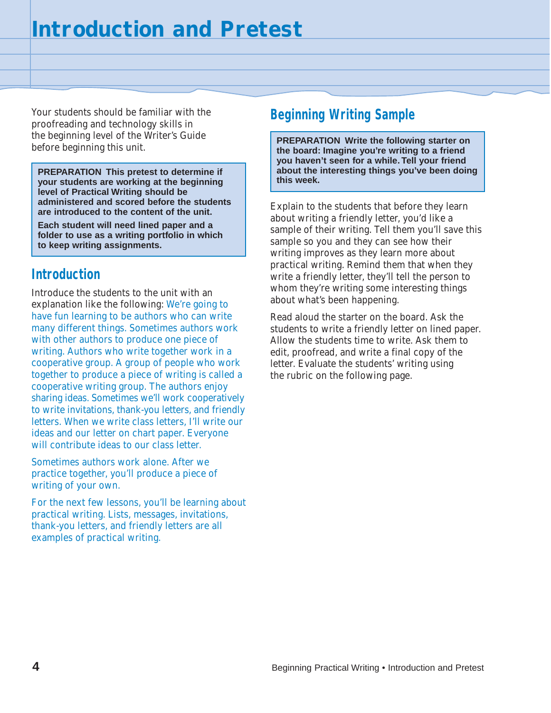Your students should be familiar with the proofreading and technology skills in the beginning level of the Writer's Guide before beginning this unit.

**PREPARATION This pretest to determine if** about the interest vour students are working at the beginning **your students are working at the beginning level of Practical Writing should be administered and scored before the students are introduced to the content of the unit.**

**Each student will need lined paper and a folder to use as a writing portfolio in which to keep writing assignments.**

## **Introduction**

Introduce the students to the unit with an explanation like the following: We're going to have fun learning to be authors who can write many different things. Sometimes authors work with other authors to produce one piece of writing. Authors who write together work in a cooperative group. A group of people who work together to produce a piece of writing is called a cooperative writing group. The authors enjoy sharing ideas. Sometimes we'll work cooperatively to write invitations, thank-you letters, and friendly letters. When we write class letters, I'll write our ideas and our letter on chart paper. Everyone will contribute ideas to our class letter.

Sometimes authors work alone. After we practice together, you'll produce a piece of writing of your own.

For the next few lessons, you'll be learning about practical writing. Lists, messages, invitations, thank-you letters, and friendly letters are all examples of practical writing.

## **Beginning Writing Sample**

**PREPARATION Write the following starter on the board: Imagine you're writing to a friend you haven't seen for a while. Tell your friend about the interesting things you've been doing**

Explain to the students that before they learn about writing a friendly letter, you'd like a sample of their writing. Tell them you'll save this sample so you and they can see how their writing improves as they learn more about practical writing. Remind them that when they write a friendly letter, they'll tell the person to whom they're writing some interesting things about what's been happening.

Read aloud the starter on the board. Ask the students to write a friendly letter on lined paper. Allow the students time to write. Ask them to edit, proofread, and write a final copy of the letter. Evaluate the students' writing using the rubric on the following page.